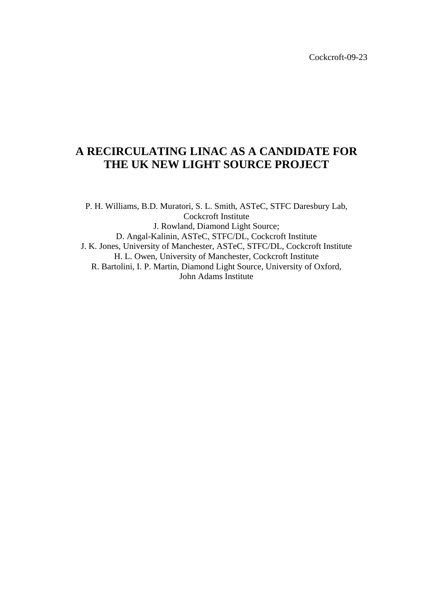# **A RECIRCULATING LINAC AS A CANDIDATE FOR THE UK NEW LIGHT SOURCE PROJECT**

P. H. Williams, B.D. Muratori, S. L. Smith, ASTeC, STFC Daresbury Lab, Cockcroft Institute J. Rowland, Diamond Light Source; D. Angal-Kalinin, ASTeC, STFC/DL, Cockcroft Institute J. K. Jones, University of Manchester, ASTeC, STFC/DL, Cockcroft Institute H. L. Owen, University of Manchester, Cockcroft Institute R. Bartolini, I. P. Martin, Diamond Light Source, University of Oxford, John Adams Institute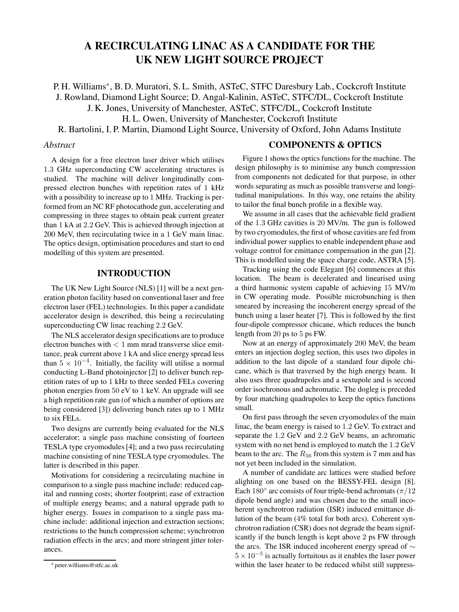# **A RECIRCULATING LINAC AS A CANDIDATE FOR THE UK NEW LIGHT SOURCE PROJECT**

P. H. Williams∗, B. D. Muratori, S. L. Smith, ASTeC, STFC Daresbury Lab., Cockcroft Institute J. Rowland, Diamond Light Source; D. Angal-Kalinin, ASTeC, STFC/DL, Cockcroft Institute J. K. Jones, University of Manchester, ASTeC, STFC/DL, Cockcroft Institute H. L. Owen, University of Manchester, Cockcroft Institute R. Bartolini, I. P. Martin, Diamond Light Source, University of Oxford, John Adams Institute

#### *Abstract*

A design for a free electron laser driver which utilises 1.3 GHz superconducting CW accelerating structures is studied. The machine will deliver longitudinally compressed electron bunches with repetition rates of 1 kHz with a possibility to increase up to 1 MHz. Tracking is performed from an NC RF photocathode gun, accelerating and compressing in three stages to obtain peak current greater than 1 kA at 2.2 GeV. This is achieved through injection at 200 MeV, then recirculating twice in a 1 GeV main linac. The optics design, optimisation procedures and start to end modelling of this system are presented.

## **INTRODUCTION**

The UK New Light Source (NLS) [1] will be a next generation photon facility based on conventional laser and free electron laser (FEL) technologies. In this paper a candidate accelerator design is described, this being a recirculating superconducting CW linac reaching 2.2 GeV.

The NLS accelerator design specifications are to produce electron bunches with  $< 1$  mm mrad transverse slice emittance, peak current above 1 kA and slice energy spread less than  $5 \times 10^{-4}$ . Initially, the facility will utilise a normal conducting L-Band photoinjector [2] to deliver bunch repetition rates of up to 1 kHz to three seeded FELs covering photon energies from 50 eV to 1 keV. An upgrade will see a high repetition rate gun (of which a number of options are being considered [3]) delivering bunch rates up to 1 MHz to six FELs.

Two designs are currently being evaluated for the NLS accelerator; a single pass machine consisting of fourteen TESLA type cryomodules [4]; and a two pass recirculating machine consisting of nine TESLA type cryomodules. The latter is described in this paper.

Motivations for considering a recirculating machine in comparison to a single pass machine include: reduced capital and running costs; shorter footprint; ease of extraction of multiple energy beams; and a natural upgrade path to higher energy. Issues in comparison to a single pass machine include: additional injection and extraction sections; restrictions to the bunch compression scheme; synchrotron radiation effects in the arcs; and more stringent jitter tolerances.

#### **COMPONENTS & OPTICS**

Figure 1 shows the optics functions for the machine. The design philosophy is to minimise any bunch compression from components not dedicated for that purpose, in other words separating as much as possible transverse and longitudinal manipulations. In this way, one retains the ability to tailor the final bunch profile in a flexible way.

We assume in all cases that the achievable field gradient of the 1.3 GHz cavities is 20 MV/m. The gun is followed by two cryomodules, the first of whose cavities are fed from individual power supplies to enable independent phase and voltage control for emittance compensation in the gun [2]. This is modelled using the space charge code, ASTRA [5].

Tracking using the code Elegant [6] commences at this location. The beam is decelerated and linearised using a third harmonic system capable of achieving 15 MV/m in CW operating mode. Possible microbunching is then smeared by increasing the incoherent energy spread of the bunch using a laser heater [7]. This is followed by the first four-dipole compressor chicane, which reduces the bunch length from 20 ps to 5 ps FW.

Now at an energy of approximately 200 MeV, the beam enters an injection dogleg section, this uses two dipoles in addition to the last dipole of a standard four dipole chicane, which is that traversed by the high energy beam. It also uses three quadrupoles and a sextupole and is second order isochronous and achromatic. The dogleg is preceded by four matching quadrupoles to keep the optics functions small.

On first pass through the seven cryomodules of the main linac, the beam energy is raised to 1.2 GeV. To extract and separate the 1.2 GeV and 2.2 GeV beams, an achromatic system with no net bend is employed to match the 1.2 GeV beam to the arc. The  $R_{56}$  from this system is 7 mm and has not yet been included in the simulation.

A number of candidate arc lattices were studied before alighting on one based on the BESSY-FEL design [8]. Each 180 $\degree$  arc consists of four triple-bend achromats ( $\pi/12$ ) dipole bend angle) and was chosen due to the small incoherent synchrotron radiation (ISR) induced emittance dilution of the beam (4% total for both arcs). Coherent synchrotron radiation (CSR) does not degrade the beam significantly if the bunch length is kept above 2 ps FW through the arcs. The ISR induced incoherent energy spread of ∼  $5 \times 10^{-5}$  is actually fortuitous as it enables the laser power within the laser heater to be reduced whilst still suppress-

<sup>∗</sup> peter.williams@stfc.ac.uk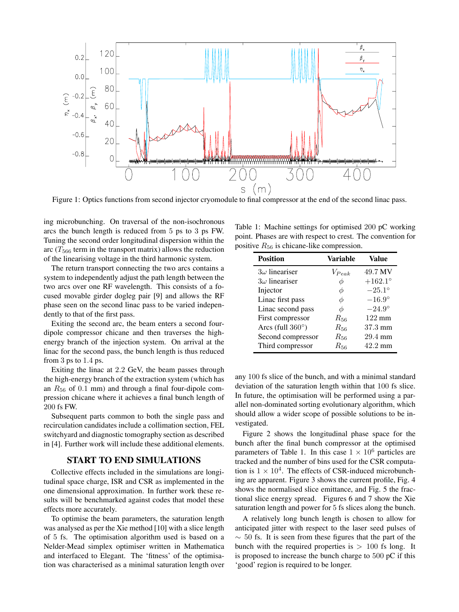

Figure 1: Optics functions from second injector cryomodule to final compressor at the end of the second linac pass.

ing microbunching. On traversal of the non-isochronous arcs the bunch length is reduced from 5 ps to 3 ps FW. Tuning the second order longitudinal dispersion within the arc ( $T_{566}$  term in the transport matrix) allows the reduction of the linearising voltage in the third harmonic system.

The return transport connecting the two arcs contains a system to independently adjust the path length between the two arcs over one RF wavelength. This consists of a focused movable girder dogleg pair [9] and allows the RF phase seen on the second linac pass to be varied independently to that of the first pass.

Exiting the second arc, the beam enters a second fourdipole compressor chicane and then traverses the highenergy branch of the injection system. On arrival at the linac for the second pass, the bunch length is thus reduced from 3 ps to 1.4 ps.

Exiting the linac at 2.2 GeV, the beam passes through the high-energy branch of the extraction system (which has an  $R_{56}$  of 0.1 mm) and through a final four-dipole compression chicane where it achieves a final bunch length of 200 fs FW.

Subsequent parts common to both the single pass and recirculation candidates include a collimation section, FEL switchyard and diagnostic tomography section as described in [4]. Further work will include these additional elements.

#### **START TO END SIMULATIONS**

Collective effects included in the simulations are longitudinal space charge, ISR and CSR as implemented in the one dimensional approximation. In further work these results will be benchmarked against codes that model these effects more accurately.

To optimise the beam parameters, the saturation length was analysed as per the Xie method [10] with a slice length of 5 fs. The optimisation algorithm used is based on a Nelder-Mead simplex optimiser written in Mathematica and interfaced to Elegant. The 'fitness' of the optimisation was characterised as a minimal saturation length over

Table 1: Machine settings for optimised 200 pC working point. Phases are with respect to crest. The convention for positive  $R_{56}$  is chicane-like compression.

| <b>Position</b>          | Variable     | Value             |
|--------------------------|--------------|-------------------|
| $3\omega$ lineariser     | $V_{Peak}$   | 49.7 MV           |
| $3\omega$ lineariser     | ¢            | $+162.1^{\circ}$  |
| Injector                 | Φ            | $-25.1^\circ$     |
| Linac first pass         | Ф            | $-16.9^\circ$     |
| Linac second pass        | Φ            | $-24.9^{\circ}$   |
| First compressor         | $R_{56}$     | $122 \text{ mm}$  |
| Arcs (full $360^\circ$ ) | $R_{\rm 56}$ | $37.3 \text{ mm}$ |
| Second compressor        | $R_{56}$     | $29.4$ mm         |
| Third compressor         | $R_{\rm 56}$ | $42.2 \text{ mm}$ |

any 100 fs slice of the bunch, and with a minimal standard deviation of the saturation length within that 100 fs slice. In future, the optimisation will be performed using a parallel non-dominated sorting evolutionary algorithm, which should allow a wider scope of possible solutions to be investigated.

Figure 2 shows the longitudinal phase space for the bunch after the final bunch compressor at the optimised parameters of Table 1. In this case  $1 \times 10^6$  particles are tracked and the number of bins used for the CSR computation is  $1 \times 10^4$ . The effects of CSR-induced microbunching are apparent. Figure 3 shows the current profile, Fig. 4 shows the normalised slice emittance, and Fig. 5 the fractional slice energy spread. Figures 6 and 7 show the Xie saturation length and power for 5 fs slices along the bunch.

A relatively long bunch length is chosen to allow for anticipated jitter with respect to the laser seed pulses of  $\sim$  50 fs. It is seen from these figures that the part of the bunch with the required properties is  $> 100$  fs long. It is proposed to increase the bunch charge to 500 pC if this 'good' region is required to be longer.